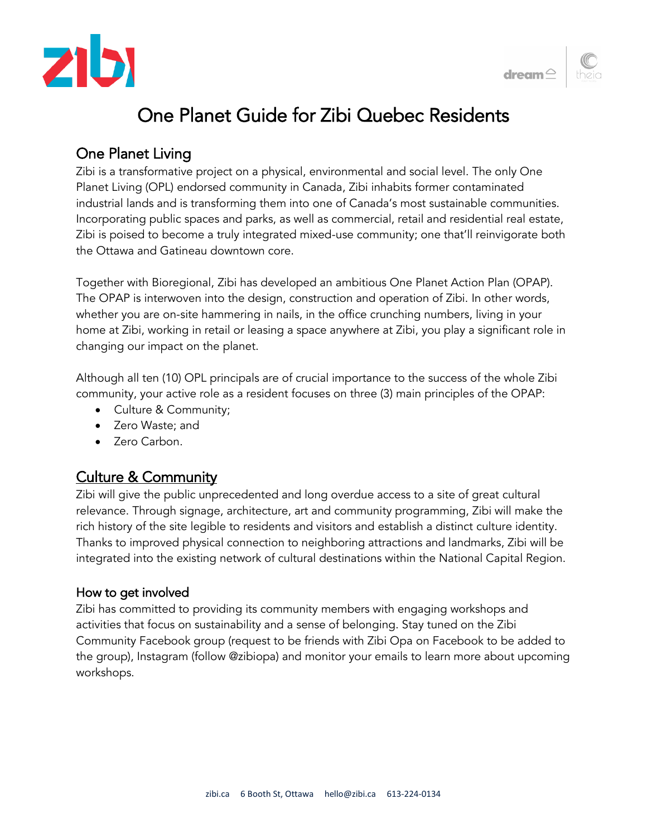



# One Planet Guide for Zibi Quebec Residents

## One Planet Living

Zibi is a transformative project on a physical, environmental and social level. The only One Planet Living (OPL) endorsed community in Canada, Zibi inhabits former contaminated industrial lands and is transforming them into one of Canada's most sustainable communities. Incorporating public spaces and parks, as well as commercial, retail and residential real estate, Zibi is poised to become a truly integrated mixed-use community; one that'll reinvigorate both the Ottawa and Gatineau downtown core.

Together with Bioregional, Zibi has developed an ambitious One Planet Action Plan (OPAP). The OPAP is interwoven into the design, construction and operation of Zibi. In other words, whether you are on-site hammering in nails, in the office crunching numbers, living in your home at Zibi, working in retail or leasing a space anywhere at Zibi, you play a significant role in changing our impact on the planet.

Although all ten (10) OPL principals are of crucial importance to the success of the whole Zibi community, your active role as a resident focuses on three (3) main principles of the OPAP:

- Culture & Community;
- Zero Waste; and
- Zero Carbon.

## Culture & Community

Zibi will give the public unprecedented and long overdue access to a site of great cultural relevance. Through signage, architecture, art and community programming, Zibi will make the rich history of the site legible to residents and visitors and establish a distinct culture identity. Thanks to improved physical connection to neighboring attractions and landmarks, Zibi will be integrated into the existing network of cultural destinations within the National Capital Region.

## How to get involved

Zibi has committed to providing its community members with engaging workshops and activities that focus on sustainability and a sense of belonging. Stay tuned on the Zibi Community Facebook group (request to be friends with Zibi Opa on Facebook to be added to the group), Instagram (follow @zibiopa) and monitor your emails to learn more about upcoming workshops.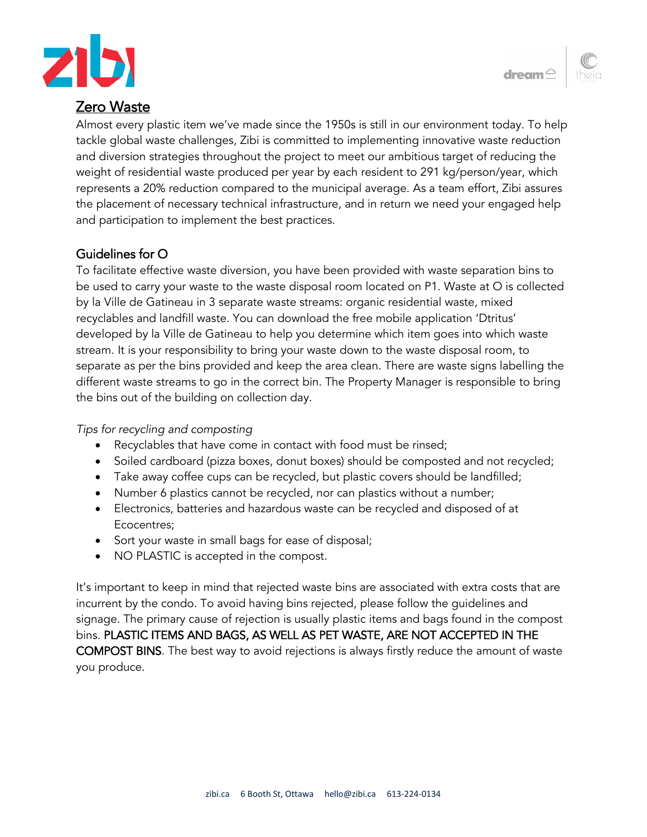

## Zero Waste

Almost every plastic item we've made since the 1950s is still in our environment today. To help tackle global waste challenges, Zibi is committed to implementing innovative waste reduction and diversion strategies throughout the project to meet our ambitious target of reducing the weight of residential waste produced per year by each resident to 291 kg/person/year, which represents a 20% reduction compared to the municipal average. As a team effort, Zibi assures the placement of necessary technical infrastructure, and in return we need your engaged help and participation to implement the best practices.

## Guidelines for O

To facilitate effective waste diversion, you have been provided with waste separation bins to be used to carry your waste to the waste disposal room located on P1. Waste at O is collected by la Ville de Gatineau in 3 separate waste streams: organic residential waste, mixed recyclables and landfill waste. You can download the free mobile application 'Dtritus' developed by la Ville de Gatineau to help you determine which item goes into which waste stream. It is your responsibility to bring your waste down to the waste disposal room, to separate as per the bins provided and keep the area clean. There are waste signs labelling the different waste streams to go in the correct bin. The Property Manager is responsible to bring the bins out of the building on collection day.

#### *Tips for recycling and composting*

- Recyclables that have come in contact with food must be rinsed;
- Soiled cardboard (pizza boxes, donut boxes) should be composted and not recycled;
- Take away coffee cups can be recycled, but plastic covers should be landfilled;
- Number 6 plastics cannot be recycled, nor can plastics without a number;
- Electronics, batteries and hazardous waste can be recycled and disposed of at Ecocentres;
- Sort your waste in small bags for ease of disposal;
- NO PLASTIC is accepted in the compost.

It's important to keep in mind that rejected waste bins are associated with extra costs that are incurrent by the condo. To avoid having bins rejected, please follow the guidelines and signage. The primary cause of rejection is usually plastic items and bags found in the compost bins. PLASTIC ITEMS AND BAGS, AS WELL AS PET WASTE, ARE NOT ACCEPTED IN THE COMPOST BINS. The best way to avoid rejections is always firstly reduce the amount of waste you produce.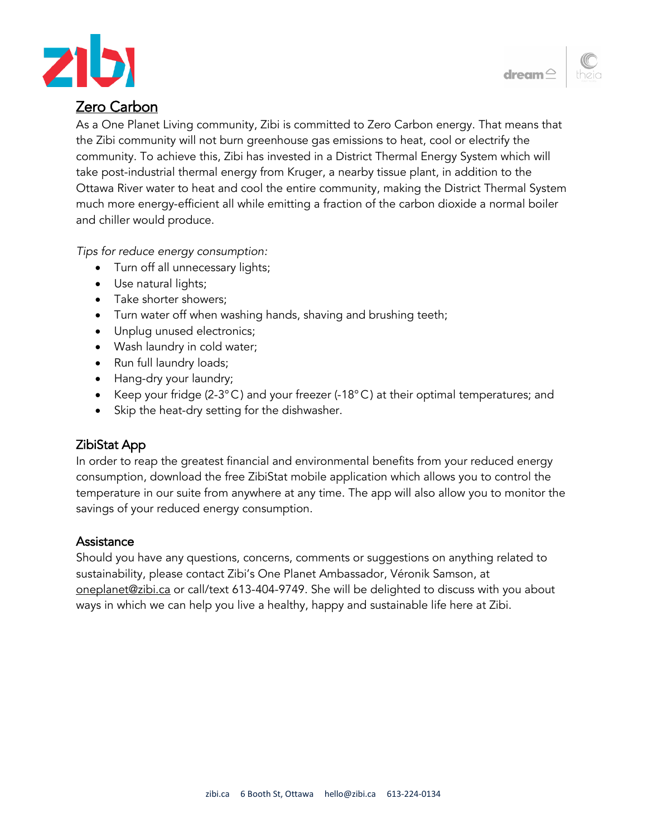



## Zero Carbon

As a One Planet Living community, Zibi is committed to Zero Carbon energy. That means that the Zibi community will not burn greenhouse gas emissions to heat, cool or electrify the community. To achieve this, Zibi has invested in a District Thermal Energy System which will take post-industrial thermal energy from Kruger, a nearby tissue plant, in addition to the Ottawa River water to heat and cool the entire community, making the District Thermal System much more energy-efficient all while emitting a fraction of the carbon dioxide a normal boiler and chiller would produce.

*Tips for reduce energy consumption:*

- Turn off all unnecessary lights;
- Use natural lights;
- Take shorter showers;
- Turn water off when washing hands, shaving and brushing teeth;
- Unplug unused electronics;
- Wash laundry in cold water;
- Run full laundry loads;
- Hang-dry your laundry;
- Keep your fridge (2-3°C) and your freezer (-18°C) at their optimal temperatures; and
- Skip the heat-dry setting for the dishwasher.

## ZibiStat App

In order to reap the greatest financial and environmental benefits from your reduced energy consumption, download the free ZibiStat mobile application which allows you to control the temperature in our suite from anywhere at any time. The app will also allow you to monitor the savings of your reduced energy consumption.

#### **Assistance**

Should you have any questions, concerns, comments or suggestions on anything related to sustainability, please contact Zibi's One Planet Ambassador, Véronik Samson, at [oneplanet@zibi.ca](mailto:oneplanet@zibi.ca) or call/text 613-404-9749. She will be delighted to discuss with you about ways in which we can help you live a healthy, happy and sustainable life here at Zibi.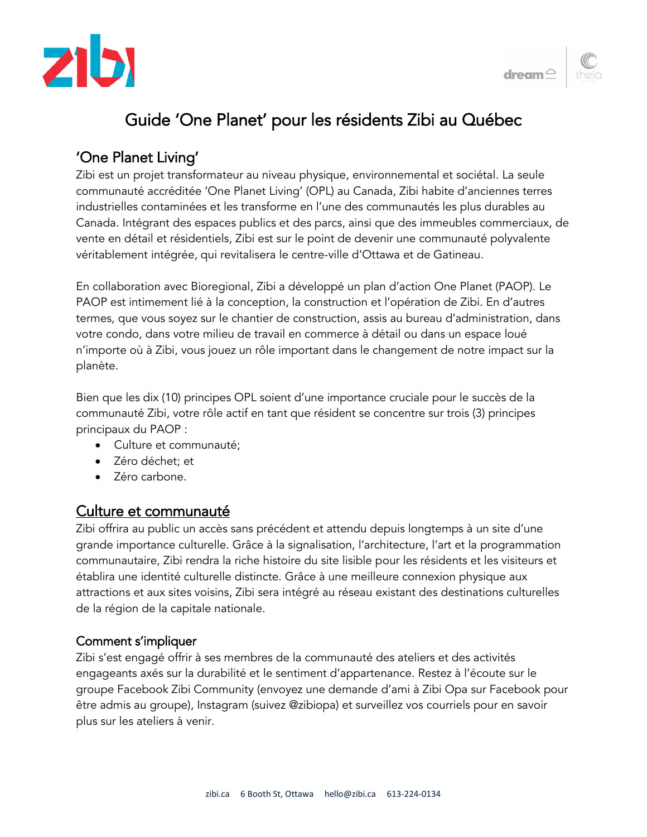



## Guide 'One Planet' pour les résidents Zibi au Québec

## 'One Planet Living'

Zibi est un projet transformateur au niveau physique, environnemental et sociétal. La seule communauté accréditée 'One Planet Living' (OPL) au Canada, Zibi habite d'anciennes terres industrielles contaminées et les transforme en l'une des communautés les plus durables au Canada. Intégrant des espaces publics et des parcs, ainsi que des immeubles commerciaux, de vente en détail et résidentiels, Zibi est sur le point de devenir une communauté polyvalente véritablement intégrée, qui revitalisera le centre-ville d'Ottawa et de Gatineau.

En collaboration avec Bioregional, Zibi a développé un plan d'action One Planet (PAOP). Le PAOP est intimement lié à la conception, la construction et l'opération de Zibi. En d'autres termes, que vous soyez sur le chantier de construction, assis au bureau d'administration, dans votre condo, dans votre milieu de travail en commerce à détail ou dans un espace loué n'importe où à Zibi, vous jouez un rôle important dans le changement de notre impact sur la planète.

Bien que les dix (10) principes OPL soient d'une importance cruciale pour le succès de la communauté Zibi, votre rôle actif en tant que résident se concentre sur trois (3) principes principaux du PAOP :

- Culture et communauté;
- Zéro déchet; et
- Zéro carbone.

## Culture et communauté

Zibi offrira au public un accès sans précédent et attendu depuis longtemps à un site d'une grande importance culturelle. Grâce à la signalisation, l'architecture, l'art et la programmation communautaire, Zibi rendra la riche histoire du site lisible pour les résidents et les visiteurs et établira une identité culturelle distincte. Grâce à une meilleure connexion physique aux attractions et aux sites voisins, Zibi sera intégré au réseau existant des destinations culturelles de la région de la capitale nationale.

#### Comment s'impliquer

Zibi s'est engagé offrir à ses membres de la communauté des ateliers et des activités engageants axés sur la durabilité et le sentiment d'appartenance. Restez à l'écoute sur le groupe Facebook Zibi Community (envoyez une demande d'ami à Zibi Opa sur Facebook pour être admis au groupe), Instagram (suivez @zibiopa) et surveillez vos courriels pour en savoir plus sur les ateliers à venir.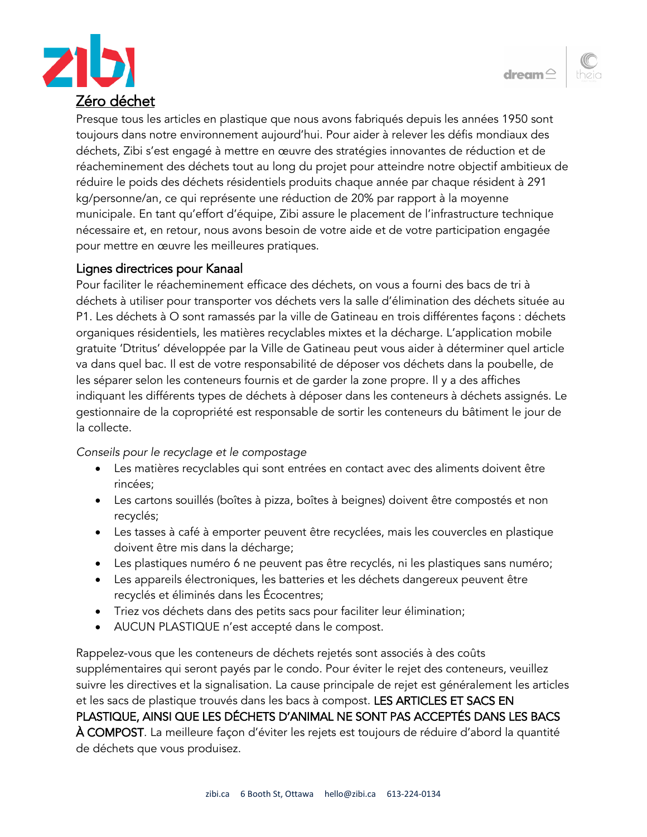



Presque tous les articles en plastique que nous avons fabriqués depuis les années 1950 sont toujours dans notre environnement aujourd'hui. Pour aider à relever les défis mondiaux des déchets, Zibi s'est engagé à mettre en œuvre des stratégies innovantes de réduction et de réacheminement des déchets tout au long du projet pour atteindre notre objectif ambitieux de réduire le poids des déchets résidentiels produits chaque année par chaque résident à 291 kg/personne/an, ce qui représente une réduction de 20% par rapport à la moyenne municipale. En tant qu'effort d'équipe, Zibi assure le placement de l'infrastructure technique nécessaire et, en retour, nous avons besoin de votre aide et de votre participation engagée pour mettre en œuvre les meilleures pratiques.

#### Lignes directrices pour Kanaal

Pour faciliter le réacheminement efficace des déchets, on vous a fourni des bacs de tri à déchets à utiliser pour transporter vos déchets vers la salle d'élimination des déchets située au P1. Les déchets à O sont ramassés par la ville de Gatineau en trois différentes façons : déchets organiques résidentiels, les matières recyclables mixtes et la décharge. L'application mobile gratuite 'Dtritus' développée par la Ville de Gatineau peut vous aider à déterminer quel article va dans quel bac. Il est de votre responsabilité de déposer vos déchets dans la poubelle, de les séparer selon les conteneurs fournis et de garder la zone propre. Il y a des affiches indiquant les différents types de déchets à déposer dans les conteneurs à déchets assignés. Le gestionnaire de la copropriété est responsable de sortir les conteneurs du bâtiment le jour de la collecte.

*Conseils pour le recyclage et le compostage*

- Les matières recyclables qui sont entrées en contact avec des aliments doivent être rincées;
- Les cartons souillés (boîtes à pizza, boîtes à beignes) doivent être compostés et non recyclés;
- Les tasses à café à emporter peuvent être recyclées, mais les couvercles en plastique doivent être mis dans la décharge;
- Les plastiques numéro 6 ne peuvent pas être recyclés, ni les plastiques sans numéro;
- Les appareils électroniques, les batteries et les déchets dangereux peuvent être recyclés et éliminés dans les Écocentres;
- Triez vos déchets dans des petits sacs pour faciliter leur élimination;
- AUCUN PLASTIQUE n'est accepté dans le compost.

Rappelez-vous que les conteneurs de déchets rejetés sont associés à des coûts supplémentaires qui seront payés par le condo. Pour éviter le rejet des conteneurs, veuillez suivre les directives et la signalisation. La cause principale de rejet est généralement les articles et les sacs de plastique trouvés dans les bacs à compost. LES ARTICLES ET SACS EN PLASTIQUE, AINSI QUE LES DÉCHETS D'ANIMAL NE SONT PAS ACCEPTÉS DANS LES BACS À COMPOST. La meilleure façon d'éviter les rejets est toujours de réduire d'abord la quantité de déchets que vous produisez.